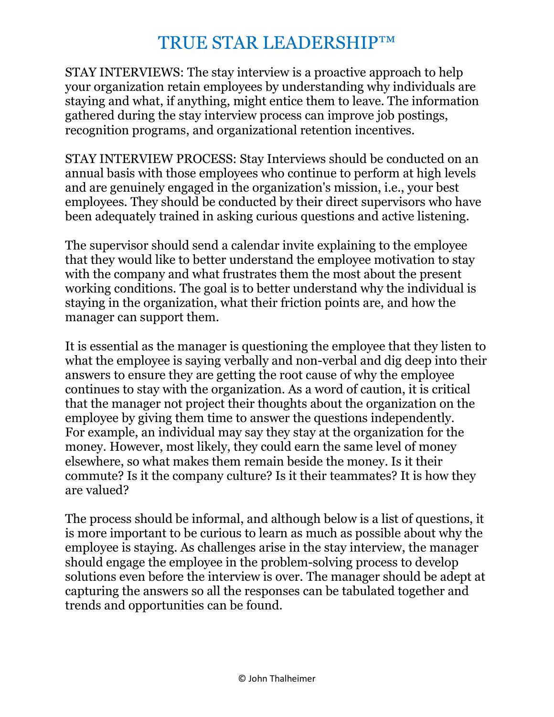STAY INTERVIEWS: The stay interview is a proactive approach to help your organization retain employees by understanding why individuals are staying and what, if anything, might entice them to leave. The information gathered during the stay interview process can improve job postings, recognition programs, and organizational retention incentives.

STAY INTERVIEW PROCESS: Stay Interviews should be conducted on an annual basis with those employees who continue to perform at high levels and are genuinely engaged in the organization's mission, i.e., your best employees. They should be conducted by their direct supervisors who have been adequately trained in asking curious questions and active listening.

The supervisor should send a calendar invite explaining to the employee that they would like to better understand the employee motivation to stay with the company and what frustrates them the most about the present working conditions. The goal is to better understand why the individual is staying in the organization, what their friction points are, and how the manager can support them.

It is essential as the manager is questioning the employee that they listen to what the employee is saying verbally and non-verbal and dig deep into their answers to ensure they are getting the root cause of why the employee continues to stay with the organization. As a word of caution, it is critical that the manager not project their thoughts about the organization on the employee by giving them time to answer the questions independently. For example, an individual may say they stay at the organization for the money. However, most likely, they could earn the same level of money elsewhere, so what makes them remain beside the money. Is it their commute? Is it the company culture? Is it their teammates? It is how they are valued?

The process should be informal, and although below is a list of questions, it is more important to be curious to learn as much as possible about why the employee is staying. As challenges arise in the stay interview, the manager should engage the employee in the problem-solving process to develop solutions even before the interview is over. The manager should be adept at capturing the answers so all the responses can be tabulated together and trends and opportunities can be found.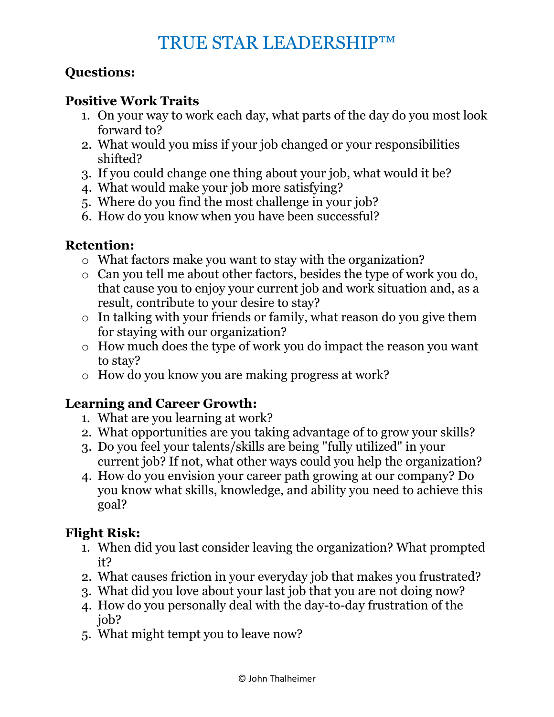## **Questions:**

#### **Positive Work Traits**

- 1. On your way to work each day, what parts of the day do you most look forward to?
- 2. What would you miss if your job changed or your responsibilities shifted?
- 3. If you could change one thing about your job, what would it be?
- 4. What would make your job more satisfying?
- 5. Where do you find the most challenge in your job?
- 6. How do you know when you have been successful?

## **Retention:**

- o What factors make you want to stay with the organization?
- o Can you tell me about other factors, besides the type of work you do, that cause you to enjoy your current job and work situation and, as a result, contribute to your desire to stay?
- o In talking with your friends or family, what reason do you give them for staying with our organization?
- o How much does the type of work you do impact the reason you want to stay?
- o How do you know you are making progress at work?

## **Learning and Career Growth:**

- 1. What are you learning at work?
- 2. What opportunities are you taking advantage of to grow your skills?
- 3. Do you feel your talents/skills are being "fully utilized" in your current job? If not, what other ways could you help the organization?
- 4. How do you envision your career path growing at our company? Do you know what skills, knowledge, and ability you need to achieve this goal?

# **Flight Risk:**

- 1. When did you last consider leaving the organization? What prompted it?
- 2. What causes friction in your everyday job that makes you frustrated?
- 3. What did you love about your last job that you are not doing now?
- 4. How do you personally deal with the day-to-day frustration of the job?
- 5. What might tempt you to leave now?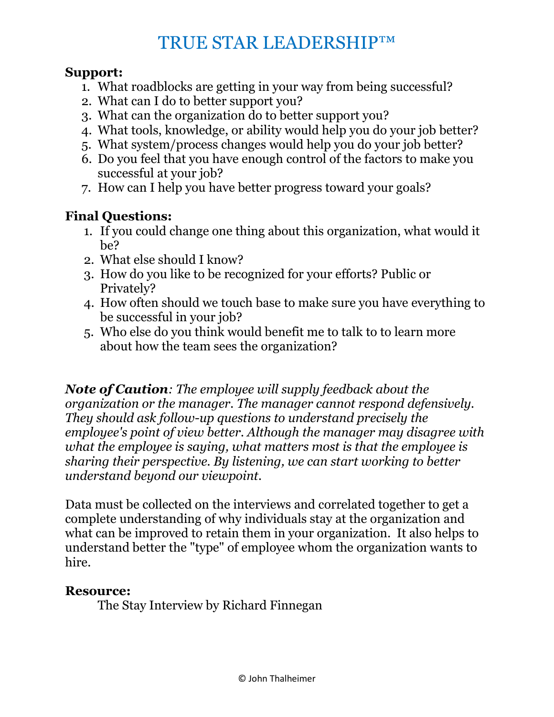#### **Support:**

- 1. What roadblocks are getting in your way from being successful?
- 2. What can I do to better support you?
- 3. What can the organization do to better support you?
- 4. What tools, knowledge, or ability would help you do your job better?
- 5. What system/process changes would help you do your job better?
- 6. Do you feel that you have enough control of the factors to make you successful at your job?
- 7. How can I help you have better progress toward your goals?

# **Final Questions:**

- 1. If you could change one thing about this organization, what would it be?
- 2. What else should I know?
- 3. How do you like to be recognized for your efforts? Public or Privately?
- 4. How often should we touch base to make sure you have everything to be successful in your job?
- 5. Who else do you think would benefit me to talk to to learn more about how the team sees the organization?

*Note of Caution: The employee will supply feedback about the organization or the manager. The manager cannot respond defensively. They should ask follow-up questions to understand precisely the employee's point of view better. Although the manager may disagree with what the employee is saying, what matters most is that the employee is sharing their perspective. By listening, we can start working to better understand beyond our viewpoint.* 

Data must be collected on the interviews and correlated together to get a complete understanding of why individuals stay at the organization and what can be improved to retain them in your organization. It also helps to understand better the "type" of employee whom the organization wants to hire.

## **Resource:**

The Stay Interview by Richard Finnegan